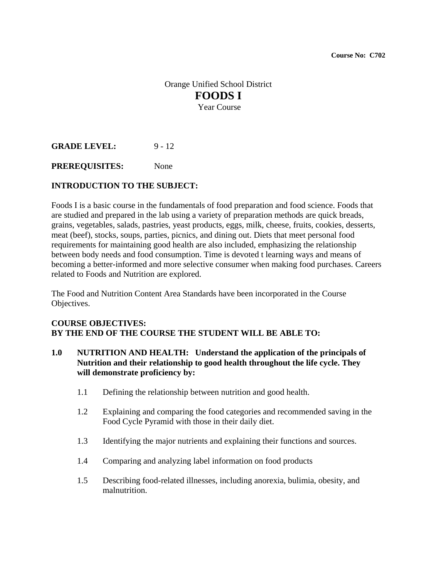## Orange Unified School District **FOODS I**  Year Course

**GRADE LEVEL:** 9 - 12

**PREREQUISITES:** None

#### **INTRODUCTION TO THE SUBJECT:**

Foods I is a basic course in the fundamentals of food preparation and food science. Foods that are studied and prepared in the lab using a variety of preparation methods are quick breads, grains, vegetables, salads, pastries, yeast products, eggs, milk, cheese, fruits, cookies, desserts, meat (beef), stocks, soups, parties, picnics, and dining out. Diets that meet personal food requirements for maintaining good health are also included, emphasizing the relationship between body needs and food consumption. Time is devoted t learning ways and means of becoming a better-informed and more selective consumer when making food purchases. Careers related to Foods and Nutrition are explored.

The Food and Nutrition Content Area Standards have been incorporated in the Course Objectives.

#### **COURSE OBJECTIVES: BY THE END OF THE COURSE THE STUDENT WILL BE ABLE TO:**

- **1.0 NUTRITION AND HEALTH: Understand the application of the principals of Nutrition and their relationship to good health throughout the life cycle. They will demonstrate proficiency by:** 
	- 1.1 Defining the relationship between nutrition and good health.
	- 1.2 Explaining and comparing the food categories and recommended saving in the Food Cycle Pyramid with those in their daily diet.
	- 1.3 Identifying the major nutrients and explaining their functions and sources.
	- 1.4 Comparing and analyzing label information on food products
	- 1.5 Describing food-related illnesses, including anorexia, bulimia, obesity, and malnutrition.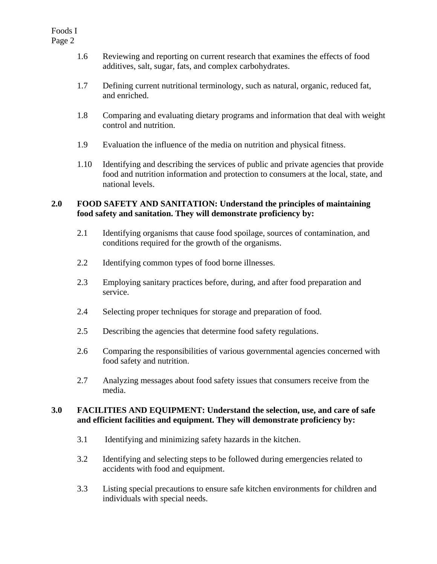- 1.6 Reviewing and reporting on current research that examines the effects of food additives, salt, sugar, fats, and complex carbohydrates.
- 1.7 Defining current nutritional terminology, such as natural, organic, reduced fat, and enriched.
- 1.8 Comparing and evaluating dietary programs and information that deal with weight control and nutrition.
- 1.9 Evaluation the influence of the media on nutrition and physical fitness.
- 1.10 Identifying and describing the services of public and private agencies that provide food and nutrition information and protection to consumers at the local, state, and national levels.

#### **2.0 FOOD SAFETY AND SANITATION: Understand the principles of maintaining food safety and sanitation. They will demonstrate proficiency by:**

- 2.1 Identifying organisms that cause food spoilage, sources of contamination, and conditions required for the growth of the organisms.
- 2.2 Identifying common types of food borne illnesses.
- 2.3 Employing sanitary practices before, during, and after food preparation and service.
- 2.4 Selecting proper techniques for storage and preparation of food.
- 2.5 Describing the agencies that determine food safety regulations.
- 2.6 Comparing the responsibilities of various governmental agencies concerned with food safety and nutrition.
- 2.7 Analyzing messages about food safety issues that consumers receive from the media.

#### **3.0 FACILITIES AND EQUIPMENT: Understand the selection, use, and care of safe and efficient facilities and equipment. They will demonstrate proficiency by:**

- 3.1 Identifying and minimizing safety hazards in the kitchen.
- 3.2 Identifying and selecting steps to be followed during emergencies related to accidents with food and equipment.
- 3.3 Listing special precautions to ensure safe kitchen environments for children and individuals with special needs.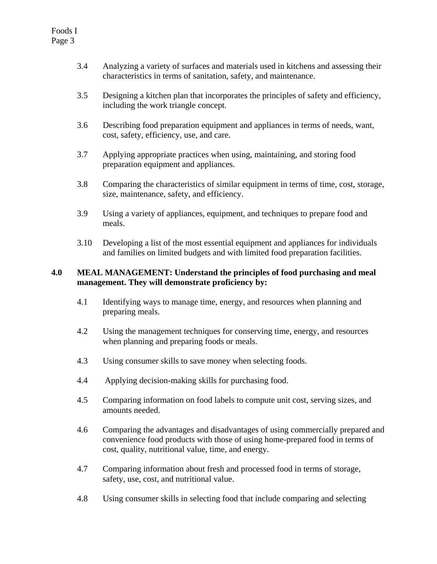- 3.4 Analyzing a variety of surfaces and materials used in kitchens and assessing their characteristics in terms of sanitation, safety, and maintenance.
- 3.5 Designing a kitchen plan that incorporates the principles of safety and efficiency, including the work triangle concept.
- 3.6 Describing food preparation equipment and appliances in terms of needs, want, cost, safety, efficiency, use, and care.
- 3.7 Applying appropriate practices when using, maintaining, and storing food preparation equipment and appliances.
- 3.8 Comparing the characteristics of similar equipment in terms of time, cost, storage, size, maintenance, safety, and efficiency.
- 3.9 Using a variety of appliances, equipment, and techniques to prepare food and meals.
- 3.10 Developing a list of the most essential equipment and appliances for individuals and families on limited budgets and with limited food preparation facilities.

#### **4.0 MEAL MANAGEMENT: Understand the principles of food purchasing and meal management. They will demonstrate proficiency by:**

- 4.1 Identifying ways to manage time, energy, and resources when planning and preparing meals.
- 4.2 Using the management techniques for conserving time, energy, and resources when planning and preparing foods or meals.
- 4.3 Using consumer skills to save money when selecting foods.
- 4.4 Applying decision-making skills for purchasing food.
- 4.5 Comparing information on food labels to compute unit cost, serving sizes, and amounts needed.
- 4.6 Comparing the advantages and disadvantages of using commercially prepared and convenience food products with those of using home-prepared food in terms of cost, quality, nutritional value, time, and energy.
- 4.7 Comparing information about fresh and processed food in terms of storage, safety, use, cost, and nutritional value.
- 4.8 Using consumer skills in selecting food that include comparing and selecting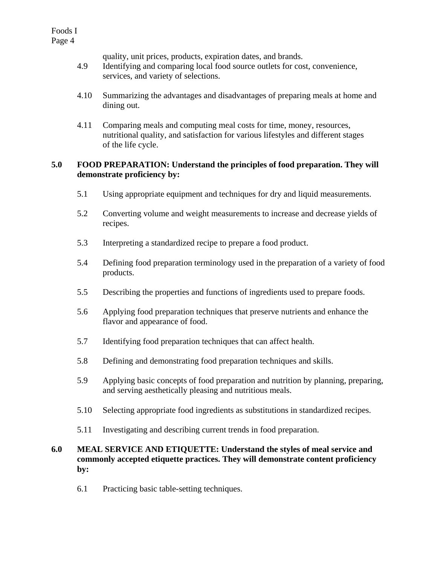quality, unit prices, products, expiration dates, and brands.

- 4.9 Identifying and comparing local food source outlets for cost, convenience, services, and variety of selections.
- 4.10 Summarizing the advantages and disadvantages of preparing meals at home and dining out.
- 4.11 Comparing meals and computing meal costs for time, money, resources, nutritional quality, and satisfaction for various lifestyles and different stages of the life cycle.

### **5.0 FOOD PREPARATION: Understand the principles of food preparation. They will demonstrate proficiency by:**

- 5.1 Using appropriate equipment and techniques for dry and liquid measurements.
- 5.2 Converting volume and weight measurements to increase and decrease yields of recipes.
- 5.3 Interpreting a standardized recipe to prepare a food product.
- 5.4 Defining food preparation terminology used in the preparation of a variety of food products.
- 5.5 Describing the properties and functions of ingredients used to prepare foods.
- 5.6 Applying food preparation techniques that preserve nutrients and enhance the flavor and appearance of food.
- 5.7 Identifying food preparation techniques that can affect health.
- 5.8 Defining and demonstrating food preparation techniques and skills.
- 5.9 Applying basic concepts of food preparation and nutrition by planning, preparing, and serving aesthetically pleasing and nutritious meals.
- 5.10 Selecting appropriate food ingredients as substitutions in standardized recipes.
- 5.11 Investigating and describing current trends in food preparation.

#### **6.0 MEAL SERVICE AND ETIQUETTE: Understand the styles of meal service and commonly accepted etiquette practices. They will demonstrate content proficiency by:**

6.1 Practicing basic table-setting techniques.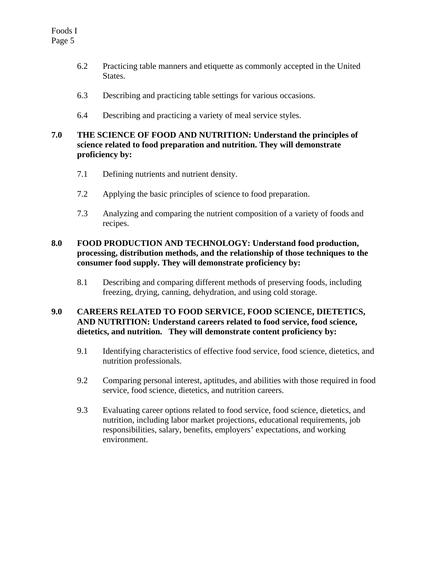- 6.2 Practicing table manners and etiquette as commonly accepted in the United States.
- 6.3 Describing and practicing table settings for various occasions.
- 6.4 Describing and practicing a variety of meal service styles.

#### **7.0 THE SCIENCE OF FOOD AND NUTRITION: Understand the principles of science related to food preparation and nutrition. They will demonstrate proficiency by:**

- 7.1 Defining nutrients and nutrient density.
- 7.2 Applying the basic principles of science to food preparation.
- 7.3 Analyzing and comparing the nutrient composition of a variety of foods and recipes.

#### **8.0 FOOD PRODUCTION AND TECHNOLOGY: Understand food production, processing, distribution methods, and the relationship of those techniques to the consumer food supply. They will demonstrate proficiency by:**

8.1 Describing and comparing different methods of preserving foods, including freezing, drying, canning, dehydration, and using cold storage.

#### **9.0 CAREERS RELATED TO FOOD SERVICE, FOOD SCIENCE, DIETETICS, AND NUTRITION: Understand careers related to food service, food science, dietetics, and nutrition. They will demonstrate content proficiency by:**

- 9.1 Identifying characteristics of effective food service, food science, dietetics, and nutrition professionals.
- 9.2 Comparing personal interest, aptitudes, and abilities with those required in food service, food science, dietetics, and nutrition careers.
- 9.3 Evaluating career options related to food service, food science, dietetics, and nutrition, including labor market projections, educational requirements, job responsibilities, salary, benefits, employers' expectations, and working environment.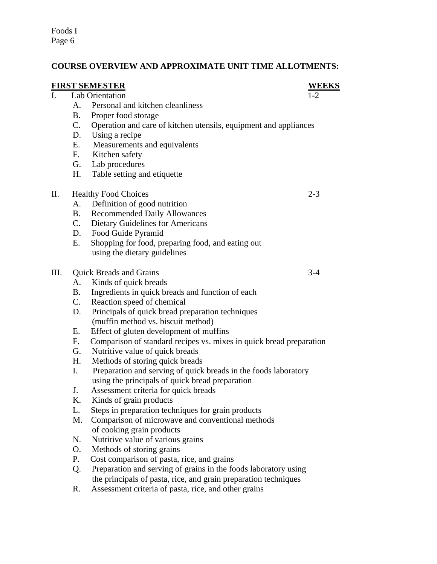#### **COURSE OVERVIEW AND APPROXIMATE UNIT TIME ALLOTMENTS:**

| <b>FIRST SEMESTER</b> |                                         |                                                                     | <b>WEEKS</b> |
|-----------------------|-----------------------------------------|---------------------------------------------------------------------|--------------|
| I.                    | Lab Orientation                         |                                                                     | $1-2$        |
|                       | A.                                      | Personal and kitchen cleanliness                                    |              |
|                       | <b>B.</b>                               | Proper food storage                                                 |              |
|                       | C.                                      | Operation and care of kitchen utensils, equipment and appliances    |              |
|                       | D.                                      | Using a recipe                                                      |              |
|                       | E.                                      | Measurements and equivalents                                        |              |
|                       |                                         | F. Kitchen safety                                                   |              |
|                       | G.                                      | Lab procedures                                                      |              |
|                       | H.                                      | Table setting and etiquette                                         |              |
| П.                    | <b>Healthy Food Choices</b>             |                                                                     | $2 - 3$      |
|                       | А.                                      | Definition of good nutrition                                        |              |
|                       | B.                                      | <b>Recommended Daily Allowances</b>                                 |              |
|                       | C.                                      | <b>Dietary Guidelines for Americans</b>                             |              |
|                       | D.                                      | Food Guide Pyramid                                                  |              |
|                       | Е.                                      | Shopping for food, preparing food, and eating out                   |              |
|                       |                                         | using the dietary guidelines                                        |              |
| Ш.                    | <b>Quick Breads and Grains</b><br>$3-4$ |                                                                     |              |
|                       | A.                                      | Kinds of quick breads                                               |              |
|                       | B.                                      | Ingredients in quick breads and function of each                    |              |
|                       | $C_{\cdot}$                             | Reaction speed of chemical                                          |              |
|                       | D.                                      | Principals of quick bread preparation techniques                    |              |
|                       |                                         | (muffin method vs. biscuit method)                                  |              |
|                       | Ε.                                      | Effect of gluten development of muffins                             |              |
|                       | F.                                      | Comparison of standard recipes vs. mixes in quick bread preparation |              |
|                       | G.                                      | Nutritive value of quick breads                                     |              |
|                       | H.                                      | Methods of storing quick breads                                     |              |
|                       | I.                                      | Preparation and serving of quick breads in the foods laboratory     |              |
|                       |                                         | using the principals of quick bread preparation                     |              |
|                       | J.                                      | Assessment criteria for quick breads                                |              |
|                       | K.                                      | Kinds of grain products                                             |              |
|                       | L.                                      | Steps in preparation techniques for grain products                  |              |
|                       | M.                                      | Comparison of microwave and conventional methods                    |              |
|                       |                                         | of cooking grain products                                           |              |
|                       | N.                                      | Nutritive value of various grains                                   |              |
|                       | O.                                      | Methods of storing grains                                           |              |
|                       | Ρ.                                      | Cost comparison of pasta, rice, and grains                          |              |
|                       | Q.                                      | Preparation and serving of grains in the foods laboratory using     |              |
|                       |                                         | the principals of pasta, rice, and grain preparation techniques     |              |
|                       | R.                                      | Assessment criteria of pasta, rice, and other grains                |              |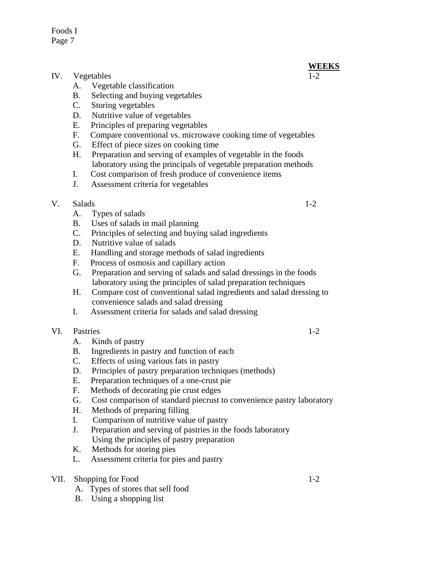- IV. Vegetables 1-2
	- A. Vegetable classification
	- B. Selecting and buying vegetables
	- C. Storing vegetables
	- D. Nutritive value of vegetables
	- E. Principles of preparing vegetables
	- F. Compare conventional vs. microwave cooking time of vegetables
	- G. Effect of piece sizes on cooking time
	- H. Preparation and serving of examples of vegetable in the foods laboratory using the principals of vegetable preparation methods
	- I. Cost comparison of fresh produce of convenience items
	- J. Assessment criteria for vegetables
- V. Salads 1-2
	- A. Types of salads
	- B. Uses of salads in mail planning
	- C. Principles of selecting and buying salad ingredients
	- D. Nutritive value of salads
	- E. Handling and storage methods of salad ingredients
	- F. Process of osmosis and capillary action
	- G. Preparation and serving of salads and salad dressings in the foods laboratory using the principles of salad preparation techniques
	- H. Compare cost of conventional salad ingredients and salad dressing to convenience salads and salad dressing
	- I. Assessment criteria for salads and salad dressing
- VI. Pastries 1-2
	- A. Kinds of pastry
	- B. Ingredients in pastry and function of each
	- C. Effects of using various fats in pastry
	- D. Principles of pastry preparation techniques (methods)
	- E. Preparation techniques of a one-crust pie
	- F. Methods of decorating pie crust edges
	- G. Cost comparison of standard piecrust to convenience pastry laboratory
	- H. Methods of preparing filling
	- I. Comparison of nutritive value of pastry
	- J. Preparation and serving of pastries in the foods laboratory Using the principles of pastry preparation
	- K. Methods for storing pies
	- L. Assessment criteria for pies and pastry
- VII. Shopping for Food 1-2
	- A. Types of stores that sell food
	- B. Using a shopping list

**WEEKS**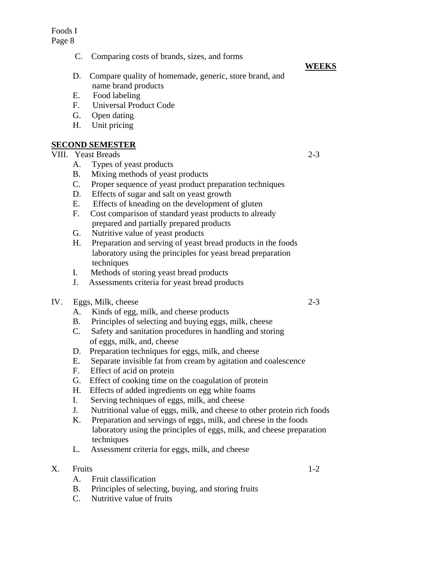- C. Comparing costs of brands, sizes, and forms
- D. Compare quality of homemade, generic, store brand, and name brand products
- E. Food labeling
- F. Universal Product Code
- G. Open dating
- H. Unit pricing

## **SECOND SEMESTER**

#### VIII. Yeast Breads 2-3

- A. Types of yeast products
- B. Mixing methods of yeast products
- C. Proper sequence of yeast product preparation techniques
- D. Effects of sugar and salt on yeast growth
- E. Effects of kneading on the development of gluten
- F. Cost comparison of standard yeast products to already prepared and partially prepared products
- G. Nutritive value of yeast products
- H. Preparation and serving of yeast bread products in the foods laboratory using the principles for yeast bread preparation techniques
- I. Methods of storing yeast bread products
- J. Assessments criteria for yeast bread products

### IV. Eggs, Milk, cheese 2-3

- A. Kinds of egg, milk, and cheese products
- B. Principles of selecting and buying eggs, milk, cheese
- C. Safety and sanitation procedures in handling and storing of eggs, milk, and, cheese
- D. Preparation techniques for eggs, milk, and cheese
- E. Separate invisible fat from cream by agitation and coalescence
- F. Effect of acid on protein
- G. Effect of cooking time on the coagulation of protein
- H. Effects of added ingredients on egg white foams
- I. Serving techniques of eggs, milk, and cheese
- J. Nutritional value of eggs, milk, and cheese to other protein rich foods
- K. Preparation and servings of eggs, milk, and cheese in the foods laboratory using the principles of eggs, milk, and cheese preparation techniques
- L. Assessment criteria for eggs, milk, and cheese

#### X. Fruits 1-2

- A. Fruit classification
- B. Principles of selecting, buying, and storing fruits
- C. Nutritive value of fruits

**WEEKS**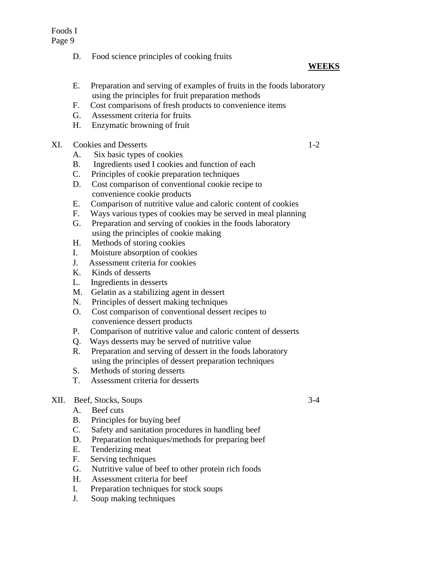D. Food science principles of cooking fruits

#### **WEEKS**

- E. Preparation and serving of examples of fruits in the foods laboratory using the principles for fruit preparation methods
- F. Cost comparisons of fresh products to convenience items
- G. Assessment criteria for fruits
- H. Enzymatic browning of fruit

#### XI. Cookies and Desserts 1-2

- A. Six basic types of cookies
- B. Ingredients used I cookies and function of each
- C. Principles of cookie preparation techniques
- D. Cost comparison of conventional cookie recipe to convenience cookie products
- E. Comparison of nutritive value and caloric content of cookies
- F. Ways various types of cookies may be served in meal planning
- G. Preparation and serving of cookies in the foods laboratory using the principles of cookie making
- H. Methods of storing cookies
- I. Moisture absorption of cookies
- J. Assessment criteria for cookies
- K. Kinds of desserts
- L. Ingredients in desserts
- M. Gelatin as a stabilizing agent in dessert
- N. Principles of dessert making techniques
- O. Cost comparison of conventional dessert recipes to convenience dessert products
- P. Comparison of nutritive value and caloric content of desserts
- Q. Ways desserts may be served of nutritive value
- R. Preparation and serving of dessert in the foods laboratory using the principles of dessert preparation techniques
- S. Methods of storing desserts
- T. Assessment criteria for desserts

### XII. Beef, Stocks, Soups 3-4

- A. Beef cuts
- B. Principles for buying beef
- C. Safety and sanitation procedures in handling beef
- D. Preparation techniques/methods for preparing beef
- E. Tenderizing meat
- F. Serving techniques
- G. Nutritive value of beef to other protein rich foods
- H. Assessment criteria for beef
- I. Preparation techniques for stock soups
- J. Soup making techniques